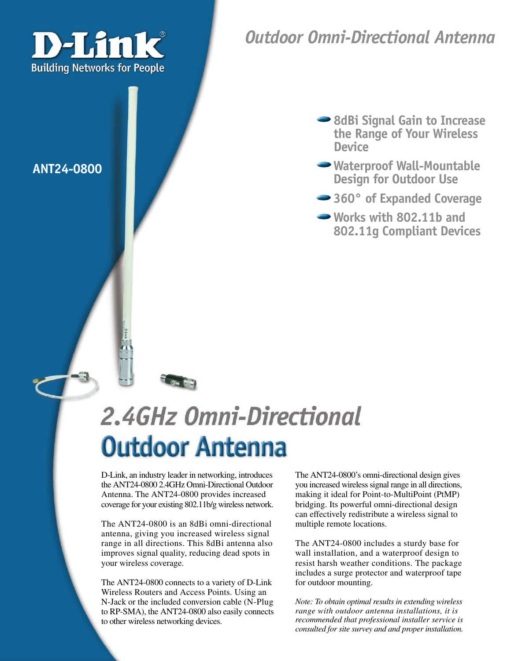

### *Outdoor Omni-Directional Antenna*

- **8dBi Signal Gain to Increase the Range of Your Wireless Device**
- **ANT24-0800 Waterproof Wall-Mountable Design for Outdoor Use**
	- **360° of Expanded Coverage**
	- **Works with 802.11b and 802.11g Compliant Devices**

# 2.4GHz Omni-Directional **Outdoor Antenna**

D-Link, an industry leader in networking, introduces the ANT24-0800 2.4GHz Omni-Directional Outdoor Antenna. The ANT24-0800 provides increased coverage for your existing 802.11b/g wireless network.

The ANT24-0800 is an 8dBi omni-directional antenna, giving you increased wireless signal range in all directions. This 8dBi antenna also improves signal quality, reducing dead spots in your wireless coverage.

The ANT24-0800 connects to a variety of D-Link Wireless Routers and Access Points. Using an N-Jack or the included conversion cable (N-Plug to RP-SMA), the ANT24-0800 also easily connects to other wireless networking devices.

The ANT24-0800's omni-directional design gives you increased wireless signal range in all directions, making it ideal for Point-to-MultiPoint (PtMP) bridging. Its powerful omni-directional design can effectively redistribute a wireless signal to multiple remote locations.

The ANT24-0800 includes a sturdy base for wall installation, and a waterproof design to resist harsh weather conditions. The package includes a surge protector and waterproof tape for outdoor mounting.

*Note: To obtain optimal results in extending wireless range with outdoor antenna installations, it is recommended that professional installer service is consulted for site survey and and proper installation.*